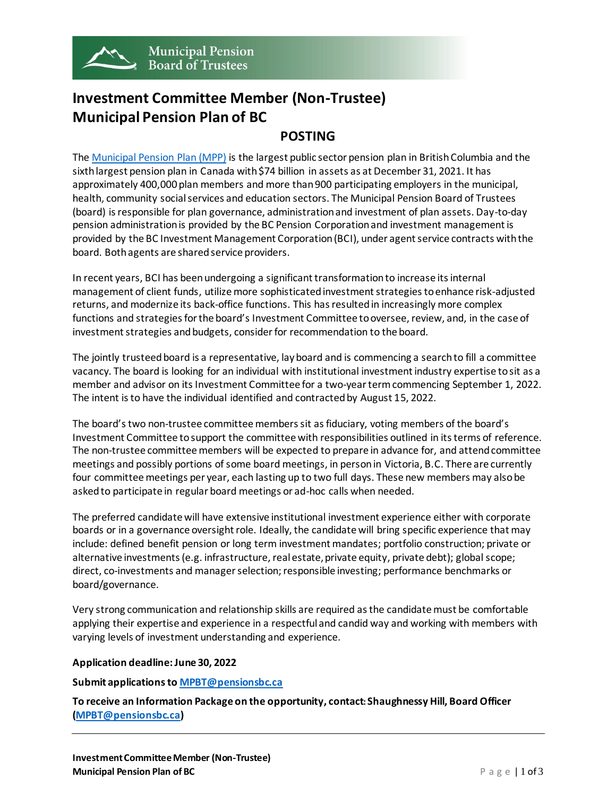

# **Investment Committee Member (Non-Trustee) Municipal Pension Plan of BC**

## **POSTING**

The [Municipal Pension Plan \(MPP\)](https://mpp.pensionsbc.ca/) is the largest public sector pension plan in British Columbia and the sixth largest pension plan in Canada with \$74 billion in assets as at December 31, 2021. It has approximately 400,000 plan members and more than 900 participating employers in the municipal, health, community social services and education sectors. The Municipal Pension Board of Trustees (board) is responsible for plan governance, administration and investment of plan assets. Day-to-day pension administration is provided by the BC Pension Corporation and investment management is provided by the BC Investment Management Corporation (BCI), under agent service contracts with the board. Both agents are shared service providers.

In recent years, BCI has been undergoing a significant transformation to increase its internal management of client funds, utilize more sophisticated investment strategies to enhance risk-adjusted returns, and modernize its back-office functions. This has resulted in increasingly more complex functions and strategies for the board's Investment Committee to oversee, review, and, in the case of investment strategies and budgets, consider for recommendation to the board.

The jointly trusteed board is a representative, lay board and is commencing a search to fill a committee vacancy. The board is looking for an individual with institutional investment industry expertise to sit as a member and advisor on its Investment Committee for a two-year term commencing September 1, 2022. The intent is to have the individual identified and contracted by August 15, 2022.

The board's two non-trustee committee members sit as fiduciary, voting members of the board's Investment Committee to support the committee with responsibilities outlined in its terms of reference. The non-trustee committee members will be expected to prepare in advance for, and attend committee meetings and possibly portions of some board meetings, in person in Victoria, B.C. There are currently four committee meetings per year, each lasting up to two full days. These new members may also be askedto participate in regular board meetings or ad-hoc calls when needed.

The preferred candidate will have extensive institutional investment experience either with corporate boards or in a governance oversight role. Ideally, the candidate will bring specific experience that may include: defined benefit pension or long term investment mandates; portfolio construction; private or alternative investments (e.g. infrastructure, real estate, private equity, private debt); global scope; direct, co-investments and manager selection; responsible investing; performance benchmarks or board/governance.

Very strong communication and relationship skills are required as the candidate must be comfortable applying their expertise and experience in a respectful and candid way and working with members with varying levels of investment understanding and experience.

### **Application deadline: June 30, 2022**

#### **Submit applications t[o MPBT@pensionsbc.ca](mailto:MPBT@pensionsbc.ca)**

**To receive an Information Package on the opportunity, contact: Shaughnessy Hill, Board Officer [\(MPBT@pensionsbc.ca](mailto:MPBT@pensionsbc.ca))**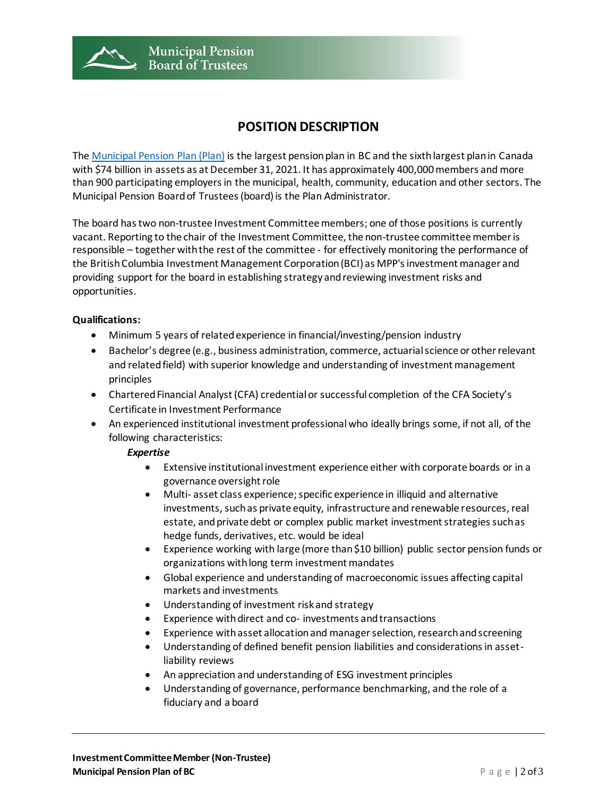

## **POSITION DESCRIPTION**

The [Municipal Pension Plan \(Plan\)](https://mpp.pensionsbc.ca/) is the largest pension plan in BC and the sixth largest plan in Canada with \$74 billion in assets as at December 31, 2021. It has approximately 400,000 members and more than 900 participating employers in the municipal, health, community, education and other sectors. The Municipal Pension Board of Trustees (board) is the Plan Administrator.

The board has two non-trustee Investment Committee members; one of those positions is currently vacant. Reporting to the chair of the Investment Committee, the non-trustee committee member is responsible – together with the rest of the committee - for effectively monitoring the performance of the British Columbia Investment Management Corporation (BCI) as MPP's investment manager and providing support for the board in establishing strategy and reviewing investment risks and opportunities.

#### **Qualifications:**

- Minimum 5 years of related experience in financial/investing/pension industry
- Bachelor's degree (e.g., business administration, commerce, actuarial science or other relevant and related field) with superior knowledge and understanding of investment management principles
- Chartered Financial Analyst (CFA) credential or successful completion of the CFA Society's Certificate in Investment Performance
- An experienced institutional investment professional who ideally brings some, if not all, of the following characteristics:

#### *Expertise*

- Extensive institutional investment experience either with corporate boards or in a governance oversight role
- Multi- asset class experience; specific experience in illiquid and alternative investments, such as private equity, infrastructure and renewable resources, real estate, and private debt or complex public market investment strategies such as hedge funds, derivatives, etc. would be ideal
- Experience working with large (more than \$10 billion) public sector pension funds or organizations with long term investment mandates
- Global experience and understanding of macroeconomic issues affecting capital markets and investments
- Understanding of investment risk and strategy
- Experience with direct and co- investments and transactions
- Experience with asset allocation and manager selection, research and screening
- Understanding of defined benefit pension liabilities and considerations in assetliability reviews
- An appreciation and understanding of ESG investment principles
- Understanding of governance, performance benchmarking, and the role of a fiduciary and a board